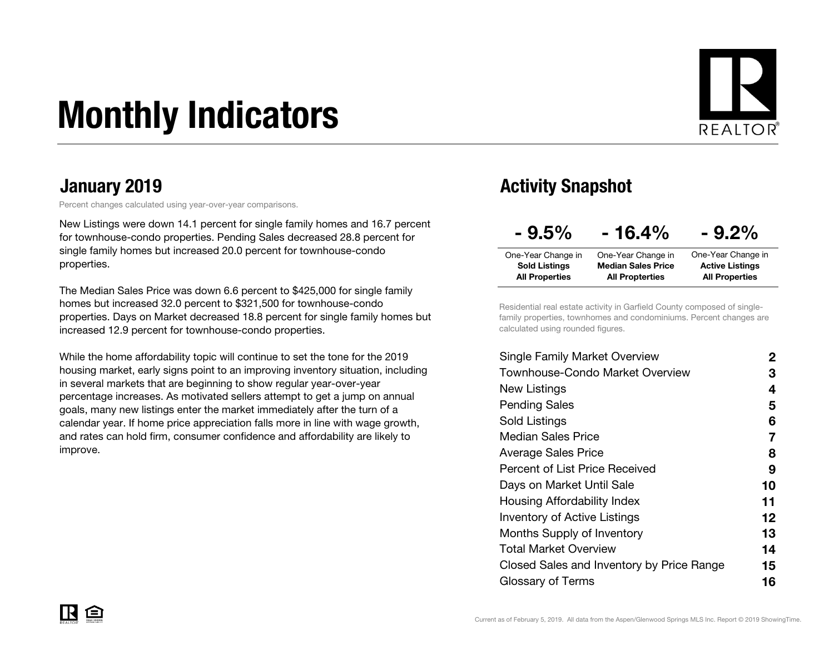# Monthly Indicators



Percent changes calculated using year-over-year comparisons.

New Listings were down 14.1 percent for single family homes and 16.7 percent for townhouse-condo properties. Pending Sales decreased 28.8 percent for single family homes but increased 20.0 percent for townhouse-condo properties.

The Median Sales Price was down 6.6 percent to \$425,000 for single family homes but increased 32.0 percent to \$321,500 for townhouse-condo properties. Days on Market decreased 18.8 percent for single family homes but increased 12.9 percent for townhouse-condo properties.

While the home affordability topic will continue to set the tone for the 2019 housing market, early signs point to an improving inventory situation, including in several markets that are beginning to show regular year-over-year percentage increases. As motivated sellers attempt to get a jump on annual goals, many new listings enter the market immediately after the turn of a calendar year. If home price appreciation falls more in line with wage growth, and rates can hold firm, consumer confidence and affordability are likely to improve.

### January 2019 **Activity Snapshot**

| $-9.5%$               | $-16.4%$                  | $-9.2\%$               |
|-----------------------|---------------------------|------------------------|
| One-Year Change in    | One-Year Change in        | One-Year Change in     |
| <b>Sold Listings</b>  | <b>Median Sales Price</b> | <b>Active Listings</b> |
| <b>All Properties</b> | <b>All Propterties</b>    | <b>All Properties</b>  |

Residential real estate activity in Garfield County composed of singlefamily properties, townhomes and condominiums. Percent changes are calculated using rounded figures.

| <b>Single Family Market Overview</b>      | 2                 |
|-------------------------------------------|-------------------|
| Townhouse-Condo Market Overview           | З                 |
| New Listings                              | 4                 |
| <b>Pending Sales</b>                      | 5                 |
| Sold Listings                             | 6                 |
| <b>Median Sales Price</b>                 | 7                 |
| <b>Average Sales Price</b>                | 8                 |
| Percent of List Price Received            | 9                 |
| Days on Market Until Sale                 | 10                |
| Housing Affordability Index               | 11                |
| <b>Inventory of Active Listings</b>       | $12 \ \mathsf{ }$ |
| Months Supply of Inventory                | 13                |
| Total Market Overview                     | 14                |
| Closed Sales and Inventory by Price Range | 15                |
| Glossary of Terms                         | 16                |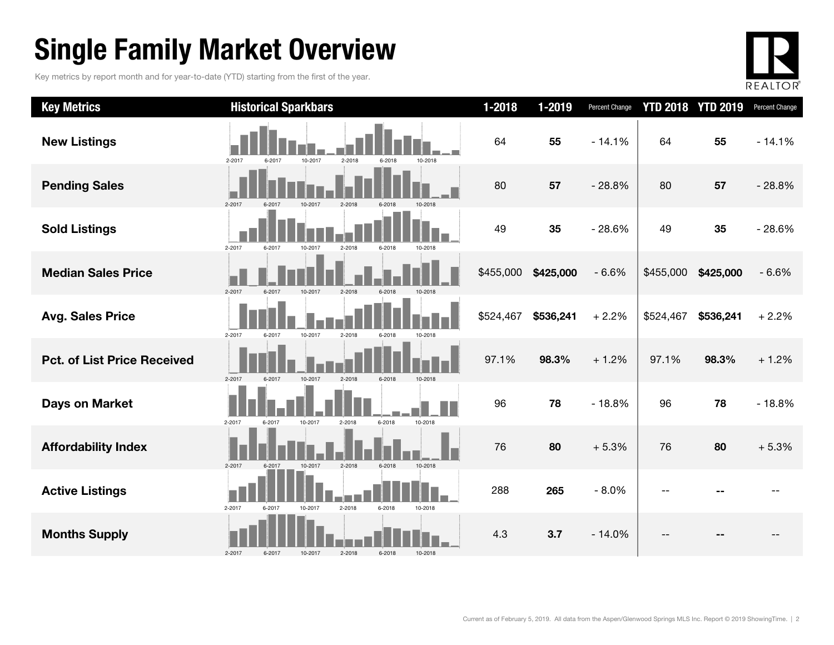### Single Family Market Overview

Key metrics by report month and for year-to-date (YTD) starting from the first of the year.



| <b>Key Metrics</b>                 | <b>Historical Sparkbars</b>                                    | $1 - 2018$ | 1-2019    | Percent Change |           | <b>YTD 2018 YTD 2019</b> | Percent Change |
|------------------------------------|----------------------------------------------------------------|------------|-----------|----------------|-----------|--------------------------|----------------|
| <b>New Listings</b>                | 2-2017<br>10-2017<br>$2 - 2018$<br>6-2017<br>6-2018<br>10-2018 | 64         | 55        | $-14.1%$       | 64        | 55                       | $-14.1%$       |
| <b>Pending Sales</b>               | 2-2017<br>6-2017<br>10-2017<br>2-2018                          | 80         | 57        | $-28.8%$       | 80        | 57                       | $-28.8%$       |
| <b>Sold Listings</b>               | $2 - 2017$<br>6-2017<br>10-2017<br>2-2018<br>6-2018<br>10-2018 | 49         | 35        | $-28.6%$       | 49        | 35                       | $-28.6%$       |
| <b>Median Sales Price</b>          | 2-2017<br>6-2017<br>10-2017<br>2-2018<br>10-2018               | \$455,000  | \$425,000 | $-6.6%$        | \$455,000 | \$425,000                | $-6.6%$        |
| <b>Avg. Sales Price</b>            | 2-2017<br>6-2017<br>10-2017<br>2-2018<br>6-2018<br>10-2018     | \$524,467  | \$536,241 | $+2.2%$        | \$524,467 | \$536,241                | $+2.2%$        |
| <b>Pct. of List Price Received</b> | 2-2017<br>10-2017<br>2-2018<br>6-2018<br>6-2017<br>10-2018     | 97.1%      | 98.3%     | $+1.2%$        | 97.1%     | 98.3%                    | $+1.2%$        |
| Days on Market                     | 6-2018<br>10-2018<br>2-2017<br>10-2017<br>2-2018<br>6-2017     | 96         | 78        | $-18.8%$       | 96        | 78                       | $-18.8%$       |
| <b>Affordability Index</b>         | 10-2018<br>2-2018<br>2-2017<br>6-2017<br>10-2017<br>6-2018     | 76         | 80        | $+5.3%$        | 76        | 80                       | $+5.3%$        |
| <b>Active Listings</b>             | 2-2017<br>6-2017<br>10-2017<br>2-2018<br>6-2018<br>10-2018     | 288        | 265       | $-8.0%$        |           |                          |                |
| <b>Months Supply</b>               | 2-2017<br>6-2017<br>2-2018<br>10-2017<br>6-2018<br>10-2018     | 4.3        | 3.7       | $-14.0%$       |           |                          |                |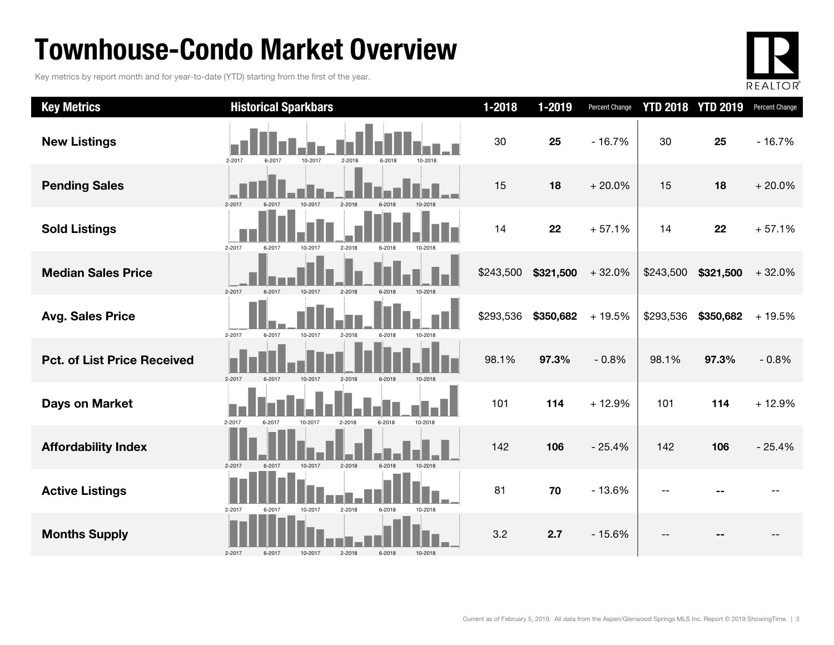### Townhouse-Condo Market Overview

Key metrics by report month and for year-to-date (YTD) starting from the first of the year.



| <b>Key Metrics</b>                 | <b>Historical Sparkbars</b>                                        | $1 - 2018$ | 1-2019    | Percent Change |           | <b>YTD 2018 YTD 2019</b> | Percent Change |
|------------------------------------|--------------------------------------------------------------------|------------|-----------|----------------|-----------|--------------------------|----------------|
| <b>New Listings</b>                | 2-2017<br>6-2017<br>10-2017<br>2-2018<br>6-2018<br>10-2018         | 30         | 25        | $-16.7%$       | 30        | 25                       | $-16.7%$       |
| <b>Pending Sales</b>               | 10-2017<br>$2-2018$<br>$2 - 2017$                                  | 15         | 18        | $+20.0%$       | 15        | 18                       | $+20.0%$       |
| <b>Sold Listings</b>               | $2 - 2017$<br>6-2017<br>10-2017<br>2-2018<br>$6 - 2018$<br>10-2018 | 14         | 22        | $+57.1%$       | 14        | 22                       | $+57.1%$       |
| <b>Median Sales Price</b>          | 2-2017<br>6-2017<br>10-2017<br>2-2018<br>6-2018                    | \$243,500  | \$321,500 | $+32.0%$       | \$243,500 | \$321,500                | $+32.0%$       |
| <b>Avg. Sales Price</b>            | 2-2017<br>6-2017<br>10-2017<br>2-2018<br>10-2018<br>6-2018         | \$293,536  | \$350,682 | $+19.5%$       | \$293,536 | \$350,682                | $+19.5%$       |
| <b>Pct. of List Price Received</b> | 2-2017<br>2-2018<br>6-2018<br>6-2017<br>10-2017                    | 98.1%      | 97.3%     | $-0.8%$        | 98.1%     | 97.3%                    | $-0.8%$        |
| <b>Days on Market</b>              | $2 - 2017$<br>10-2018<br>6-2017<br>10-2017<br>2-2018<br>6-2018     | 101        | 114       | $+12.9%$       | 101       | 114                      | $+12.9%$       |
| <b>Affordability Index</b>         | $2 - 2017$<br>10-2017<br>$2 - 2018$<br>$6 - 2018$<br>6-2017        | 142        | 106       | $-25.4%$       | 142       | 106                      | $-25.4%$       |
| <b>Active Listings</b>             | 2-2018<br>6-2018<br>2-2017<br>10-2017<br>10-2018<br>6-2017         | 81         | 70        | $-13.6%$       |           |                          |                |
| <b>Months Supply</b>               | 2-2017<br>10-2017<br>2-2018<br>6-2018<br>6-2017<br>10-2018         | 3.2        | 2.7       | $-15.6%$       | --        |                          |                |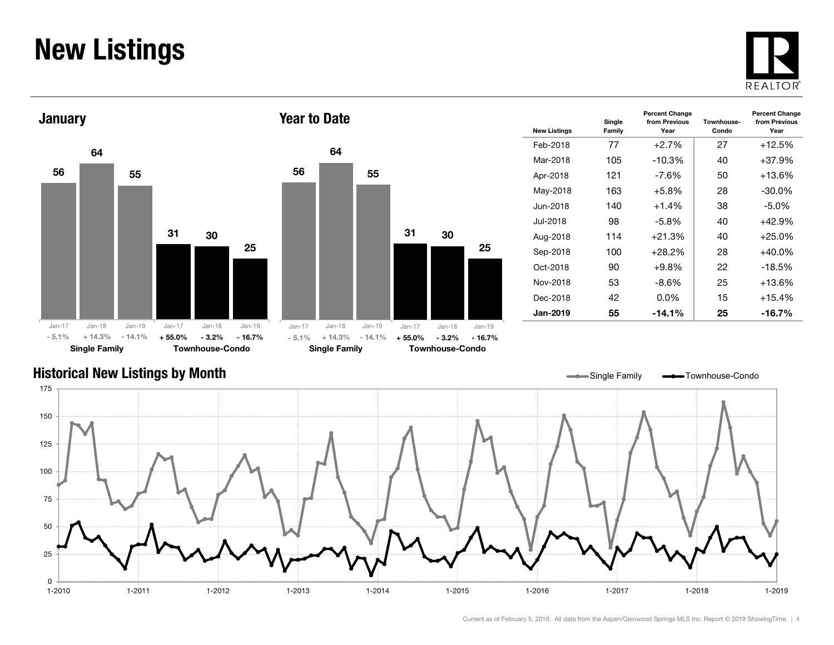### New Listings







| <b>New Listings</b> | Single<br>Family | <b>Percent Change</b><br>from Previous<br>Year | Townhouse-<br>Condo | <b>Percent Change</b><br>from Previous<br>Year |
|---------------------|------------------|------------------------------------------------|---------------------|------------------------------------------------|
| Feb-2018            | 77               | $+2.7\%$                                       | 27                  | $+12.5%$                                       |
| Mar-2018            | 105              | $-10.3%$                                       | 40                  | $+37.9%$                                       |
| Apr-2018            | 121              | -7.6%                                          | 50                  | $+13.6\%$                                      |
| May-2018            | 163              | $+5.8\%$                                       | 28                  | $-30.0\%$                                      |
| Jun-2018.           | 140              | $+1.4%$                                        | 38                  | -5.0%                                          |
| Jul-2018            | 98               | $-5.8\%$                                       | 40                  | $+42.9%$                                       |
| Aug-2018            | 114              | $+21.3%$                                       | 40                  | $+25.0%$                                       |
| Sep-2018            | 100              | $+28.2%$                                       | 28                  | $+40.0\%$                                      |
| Oct-2018            | 90               | $+9.8\%$                                       | 22                  | $-18.5%$                                       |
| Nov-2018            | 53               | -8.6%                                          | 25                  | +13.6%                                         |
| Dec-2018            | 42               | $0.0\%$                                        | 15                  | $+15.4%$                                       |
| <b>Jan-2019</b>     | 55               | $-14.1\%$                                      | 25                  | -16.7%                                         |

### Historical New Listings by Month

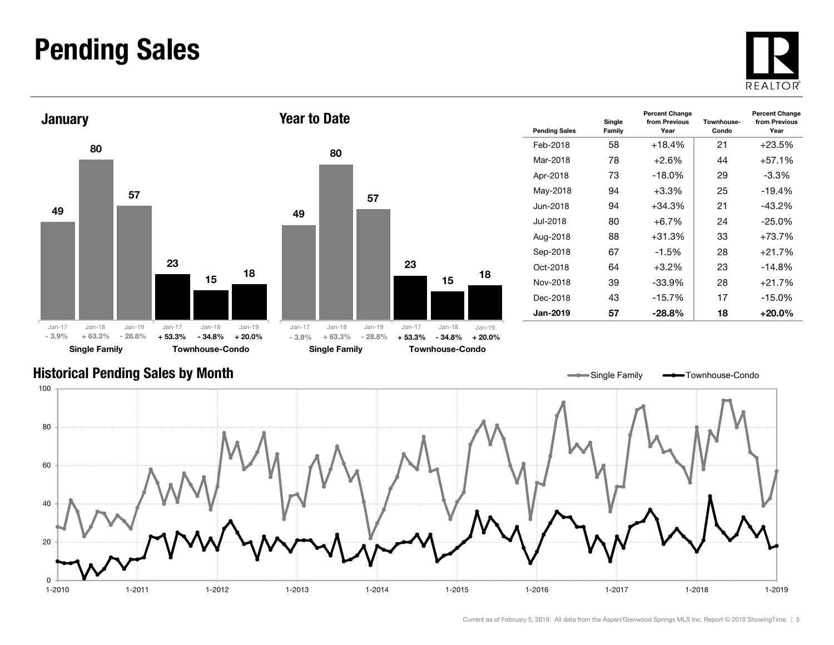### Pending Sales





| vui lu pulu         |                      |                      |                      |                        |                      |
|---------------------|----------------------|----------------------|----------------------|------------------------|----------------------|
|                     | 80                   |                      |                      |                        |                      |
| 49                  |                      | 57                   |                      |                        |                      |
|                     |                      |                      | 23                   | 15                     | 18                   |
| $Jan-17$<br>$-3.9%$ | $Jan-18$<br>$+63.3%$ | $Jan-19$<br>$-28.8%$ | $Jan-17$<br>$+53.3%$ | $Jan-18$<br>$-34.8%$   | $Jan-19$<br>$+20.0%$ |
|                     | <b>Single Family</b> |                      |                      | <b>Townhouse-Condo</b> |                      |

| <b>Pending Sales</b> | Single<br>Family | <b>Percent Change</b><br>from Previous<br>Year | Townhouse-<br>Condo | <b>Percent Change</b><br>from Previous<br>Year |
|----------------------|------------------|------------------------------------------------|---------------------|------------------------------------------------|
| Feb-2018             | 58               | $+18.4%$                                       | 21                  | $+23.5\%$                                      |
| Mar-2018             | 78               | $+2.6%$                                        | 44                  | $+57.1%$                                       |
| Apr-2018             | 73               | $-18.0\%$                                      | 29                  | -3.3%                                          |
| May-2018             | 94               | $+3.3\%$                                       | 25                  | $-19.4%$                                       |
| Jun-2018             | 94               | $+34.3%$                                       | 21                  | $-43.2\%$                                      |
| Jul-2018             | 80               | $+6.7\%$                                       | 24                  | $-25.0\%$                                      |
| Aug-2018             | 88               | $+31.3%$                                       | 33                  | $+73.7%$                                       |
| Sep-2018             | 67               | $-1.5%$                                        | 28                  | $+21.7%$                                       |
| Oct-2018             | 64               | $+3.2\%$                                       | 23                  | $-14.8%$                                       |
| Nov-2018             | 39               | -33.9%                                         | 28                  | $+21.7%$                                       |
| Dec-2018             | 43               | $-15.7%$                                       | 17                  | $-15.0\%$                                      |
| <b>Jan-2019</b>      | 57               | $-28.8\%$                                      | 18                  | $+20.0\%$                                      |

#### Historical Pending Sales by Month

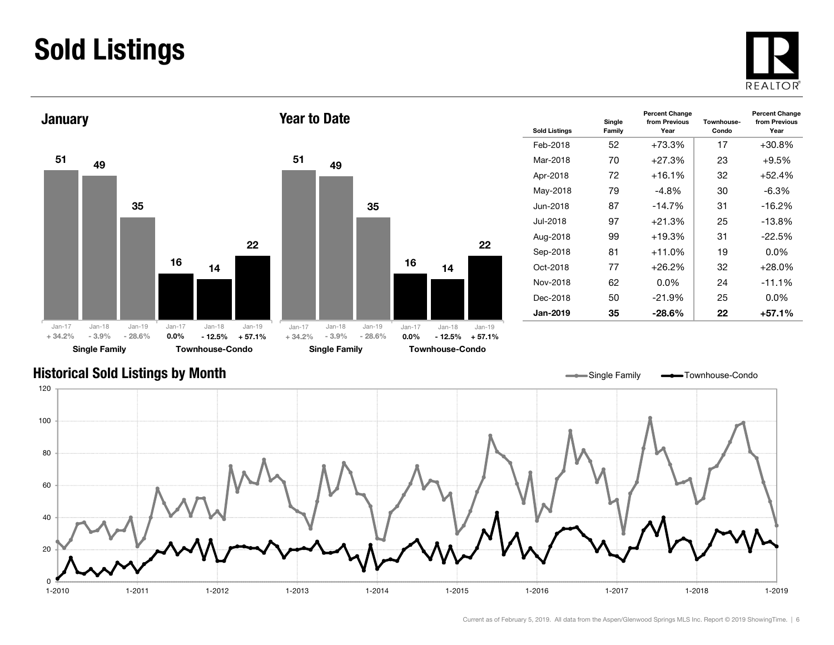### Sold Listings





| <b>Sold Listings</b> | Single<br>Family | <b>Percent Change</b><br>from Previous<br>Year | Townhouse-<br>Condo | <b>Percent Change</b><br>from Previous<br>Year |
|----------------------|------------------|------------------------------------------------|---------------------|------------------------------------------------|
| Feb-2018             | 52               | $+73.3%$                                       | 17                  | $+30.8%$                                       |
| Mar-2018             | 70               | $+27.3%$                                       | 23                  | $+9.5%$                                        |
| Apr-2018             | 72               | $+16.1%$                                       | 32                  | $+52.4%$                                       |
| May-2018             | 79               | -4.8%                                          | 30                  | $-6.3%$                                        |
| Jun-2018             | 87               | $-14.7%$                                       | 31                  | $-16.2%$                                       |
| Jul-2018             | 97               | $+21.3%$                                       | 25                  | $-13.8%$                                       |
| Aug-2018             | 99               | $+19.3%$                                       | 31                  | $-22.5%$                                       |
| Sep-2018             | 81               | $+11.0%$                                       | 19                  | $0.0\%$                                        |
| Oct-2018             | 77               | $+26.2%$                                       | 32                  | $+28.0%$                                       |
| Nov-2018             | 62               | 0.0%                                           | 24                  | $-11.1%$                                       |
| Dec-2018             | 50               | $-21.9\%$                                      | 25                  | $0.0\%$                                        |
| <b>Jan-2019</b>      | 35               | -28.6%                                         | 22                  | +57.1%                                         |

### Historical Sold Listings by Month



22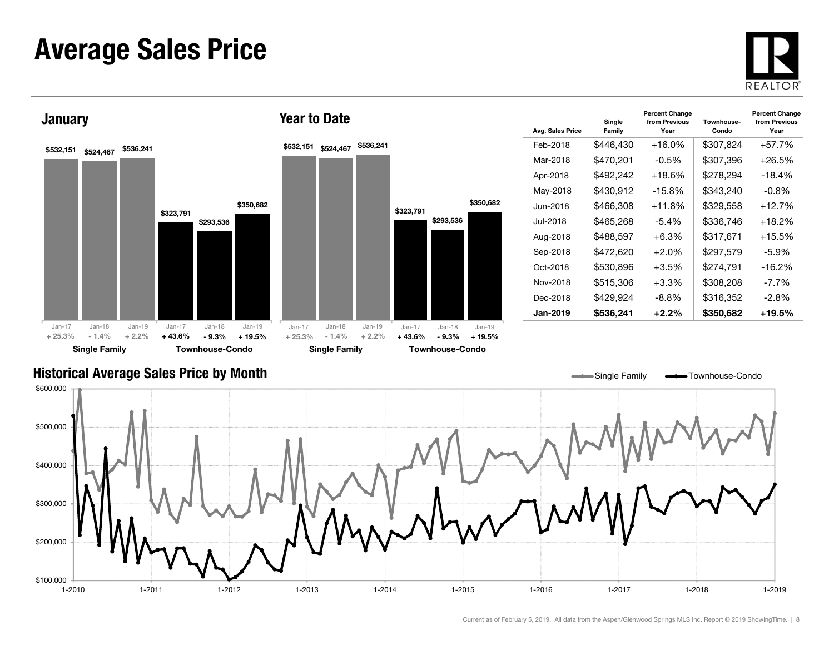### Average Sales Price





| Avg. Sales Price | Single<br>Family | <b>Percent Change</b><br>from Previous<br>Year | Townhouse-<br>Condo | <b>Percent Change</b><br>from Previous<br>Year |
|------------------|------------------|------------------------------------------------|---------------------|------------------------------------------------|
| Feb-2018         | \$446,430        | $+16.0%$                                       | \$307,824           | $+57.7%$                                       |
| Mar-2018         | \$470,201        | $-0.5\%$                                       | \$307,396           | $+26.5%$                                       |
| Apr-2018         | \$492,242        | $+18.6\%$                                      | \$278,294           | $-18.4%$                                       |
| May-2018         | \$430,912        | $-15.8%$                                       | \$343,240           | $-0.8\%$                                       |
| Jun-2018         | \$466,308        | $+11.8%$                                       | \$329,558           | $+12.7%$                                       |
| .Jul-2018        | \$465.268        | -5.4%                                          | \$336,746           | $+18.2\%$                                      |
| Aug-2018         | \$488,597        | $+6.3%$                                        | \$317,671           | $+15.5%$                                       |
| Sep-2018         | \$472.620        | $+2.0%$                                        | \$297,579           | -5.9%                                          |
| Oct-2018         | \$530,896        | +3.5%                                          | \$274,791           | $-16.2%$                                       |
| Nov-2018         | \$515,306        | +3.3%                                          | \$308,208           | $-7.7\%$                                       |
| Dec-2018         | \$429,924        | -8.8%                                          | \$316,352           | -2.8%                                          |
| Jan-2019         | \$536,241        | $+2.2\%$                                       | \$350,682           | +19.5%                                         |

Single Family **- Townhouse-Condo** 

#### Historical Average Sales Price by Month

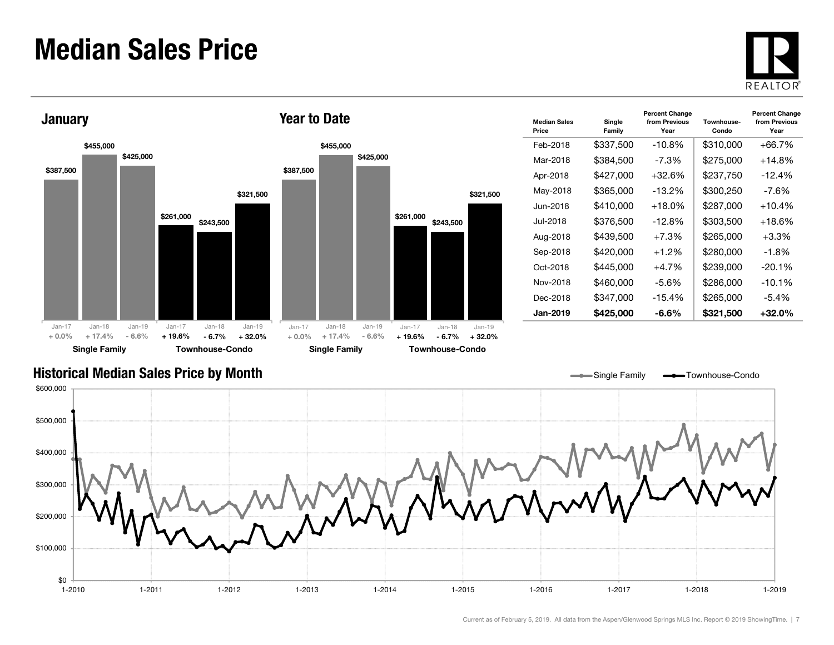### Median Sales Price





| <b>Median Sales</b><br>Price | Single<br>Family | <b>Percent Change</b><br>from Previous<br>Year | Townhouse-<br>Condo | <b>Percent Change</b><br>from Previous<br>Year |
|------------------------------|------------------|------------------------------------------------|---------------------|------------------------------------------------|
| Feb-2018                     | \$337,500        | $-10.8%$                                       | \$310,000           | +66.7%                                         |
| Mar-2018                     | \$384,500        | -7.3%                                          | \$275,000           | +14.8%                                         |
| Apr-2018                     | \$427.000        | +32.6%                                         | \$237,750           | $-12.4%$                                       |
| May-2018                     | \$365,000        | $-13.2%$                                       | \$300,250           | -7.6%                                          |
| Jun-2018.                    | \$410.000        | $+18.0\%$                                      | \$287,000           | +10.4%                                         |
| Jul-2018.                    | \$376.500        | $-12.8\%$                                      | \$303.500           | +18.6%                                         |
| Aug-2018                     | \$439,500        | $+7.3%$                                        | \$265,000           | $+3.3%$                                        |
| Sep-2018                     | \$420.000        | $+1.2%$                                        | \$280,000           | -1.8%                                          |
| Oct-2018                     | \$445.000        | $+4.7\%$                                       | \$239,000           | $-20.1%$                                       |
| Nov-2018                     | \$460,000        | $-5.6%$                                        | \$286,000           | $-10.1%$                                       |
| Dec-2018                     | \$347,000        | $-15.4%$                                       | \$265,000           | $-5.4\%$                                       |
| <b>Jan-2019</b>              | \$425,000        | -6.6%                                          | \$321,500           | +32.0%                                         |

Single Family **-** Townhouse-Condo

#### Historical Median Sales Price by Month

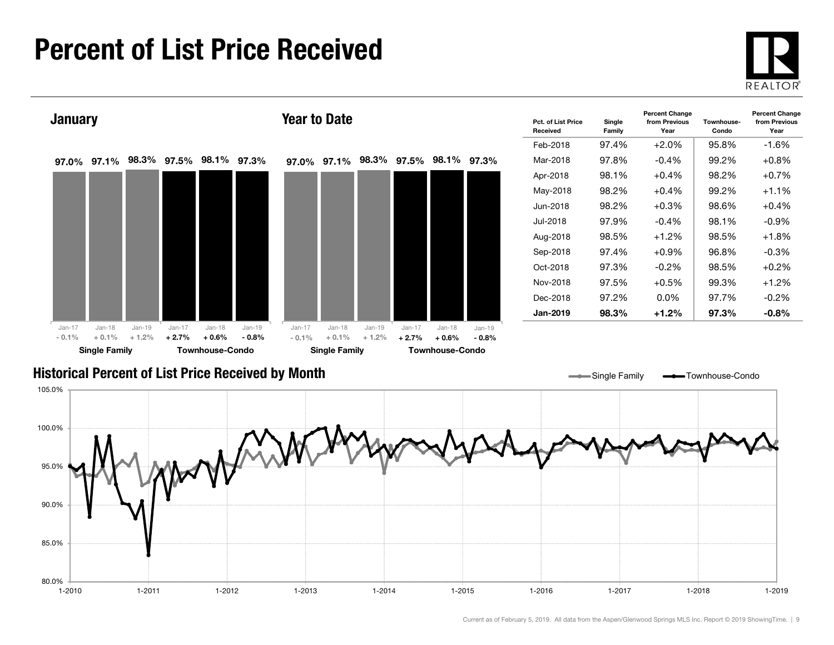### Percent of List Price Received





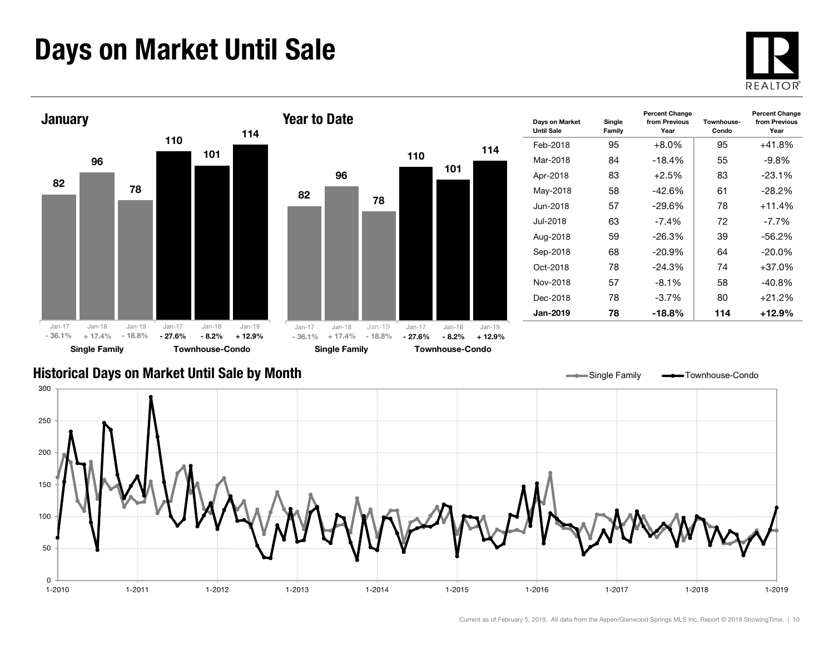### Days on Market Until Sale





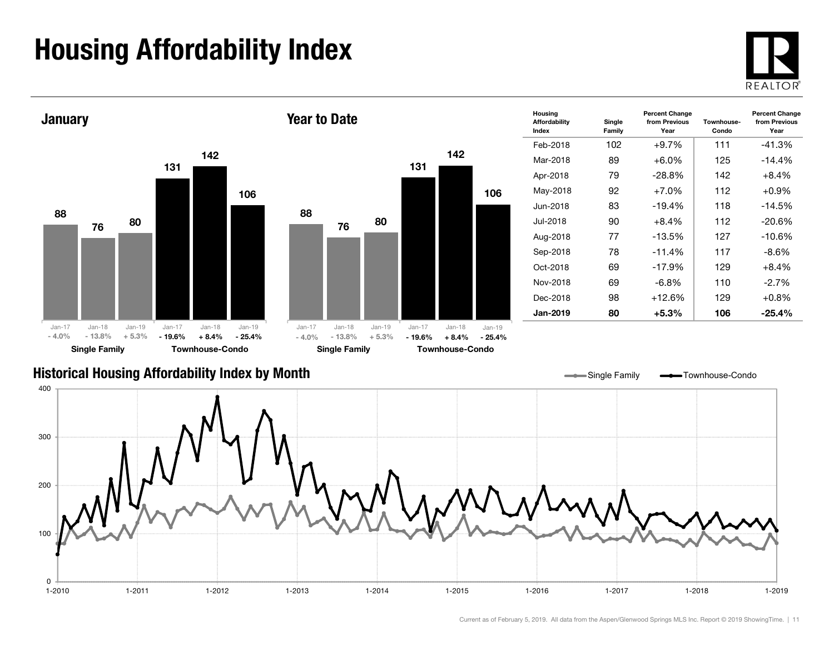## Housing Affordability Index





1-2010 1-2011 1-2012 1-2013 1-2014 1-2015 1-2016 1-2017 1-2018 1-2019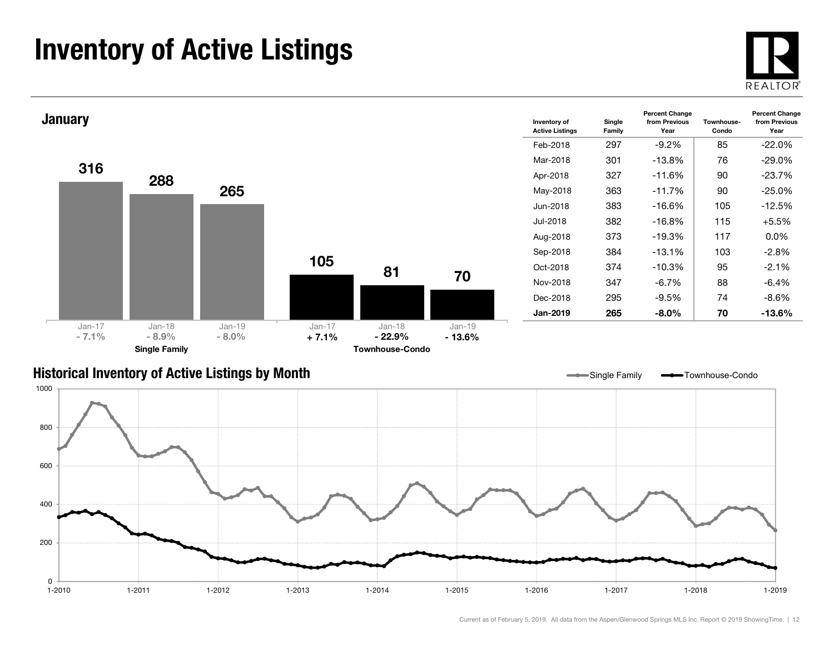### Inventory of Active Listings



Year



#### Historical Inventory of Active Listings by Month



Single Family **-** Townhouse-Condo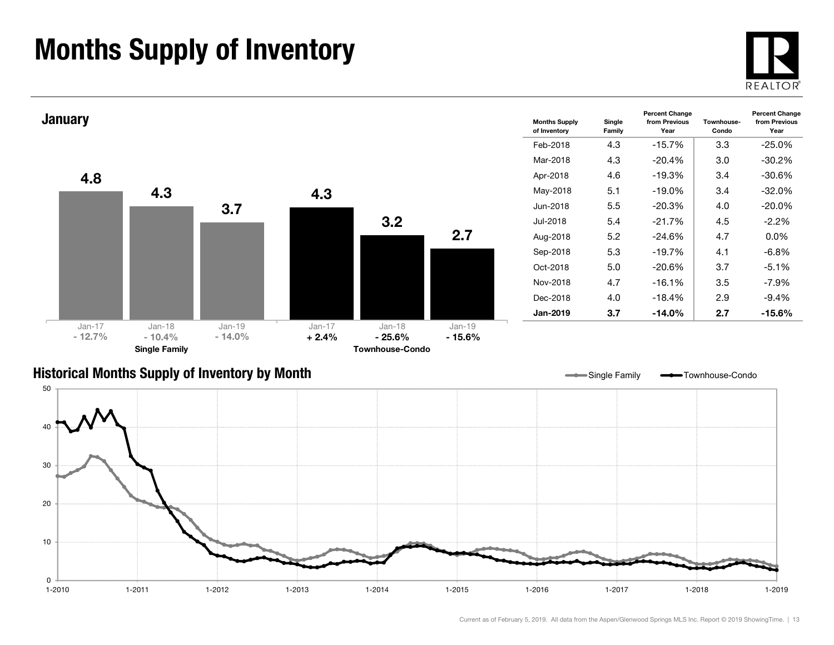### Months Supply of Inventory





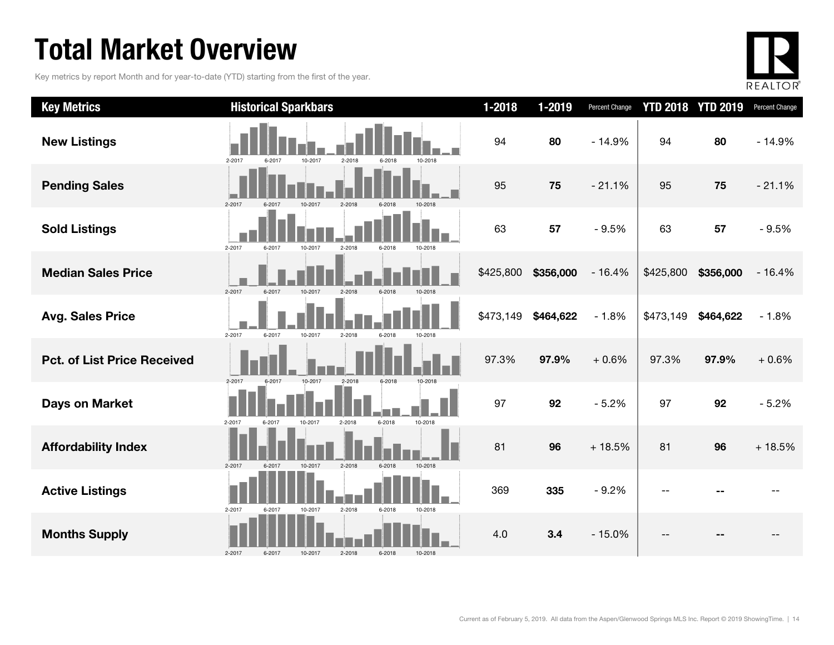### Total Market Overview

Key metrics by report Month and for year-to-date (YTD) starting from the first of the year.



| <b>Key Metrics</b>                 | <b>Historical Sparkbars</b>                                        | $1 - 2018$ | 1-2019    | <b>Percent Change</b> |           | <b>YTD 2018 YTD 2019</b> | Percent Change |
|------------------------------------|--------------------------------------------------------------------|------------|-----------|-----------------------|-----------|--------------------------|----------------|
| <b>New Listings</b>                | 10-2017<br>2-2018<br>2-2017<br>6-2017<br>6-2018<br>10-2018         | 94         | 80        | $-14.9%$              | 94        | 80                       | $-14.9%$       |
| <b>Pending Sales</b>               | $2 - 2017$<br>6-2017<br>$2 - 2018$<br>10-2017<br>6-2018<br>10-2018 | 95         | 75        | $-21.1%$              | 95        | 75                       | $-21.1%$       |
| <b>Sold Listings</b>               | 2-2017<br>6-2017<br>2-2018<br>10-2017<br>6-2018<br>10-2018         | 63         | 57        | $-9.5%$               | 63        | 57                       | $-9.5%$        |
| <b>Median Sales Price</b>          | $2 - 2017$<br>6-2017<br>10-2017<br>2-2018<br>6-2018                | \$425,800  | \$356,000 | $-16.4%$              | \$425,800 | \$356,000                | $-16.4%$       |
| <b>Avg. Sales Price</b>            | $2 - 2017$<br>6-2017<br>10-2017<br>2-2018<br>6-2018<br>10-2018     | \$473,149  | \$464,622 | $-1.8%$               | \$473,149 | \$464,622                | $-1.8%$        |
| <b>Pct. of List Price Received</b> | $2 - 2017$<br>$2 - 2018$<br>10-2017<br>6-2018                      | 97.3%      | 97.9%     | $+0.6%$               | 97.3%     | 97.9%                    | $+0.6%$        |
| <b>Days on Market</b>              | 6-2018<br>10-2018<br>2-2017<br>2-2018<br>6-2017<br>10-2017         | 97         | 92        | $-5.2%$               | 97        | 92                       | $-5.2%$        |
| <b>Affordability Index</b>         | $2 - 2017$<br>6-2017<br>10-2017<br>2-2018<br>6-2018<br>10-2018     | 81         | 96        | $+18.5%$              | 81        | 96                       | $+18.5%$       |
| <b>Active Listings</b>             | 2-2018<br>2-2017<br>10-2017<br>6-2018<br>10-2018<br>6-2017         | 369        | 335       | $-9.2%$               |           |                          |                |
| <b>Months Supply</b>               | 2-2018<br>6-2018<br>2-2017<br>6-2017<br>10-2017<br>10-2018         | 4.0        | 3.4       | $-15.0%$              |           |                          |                |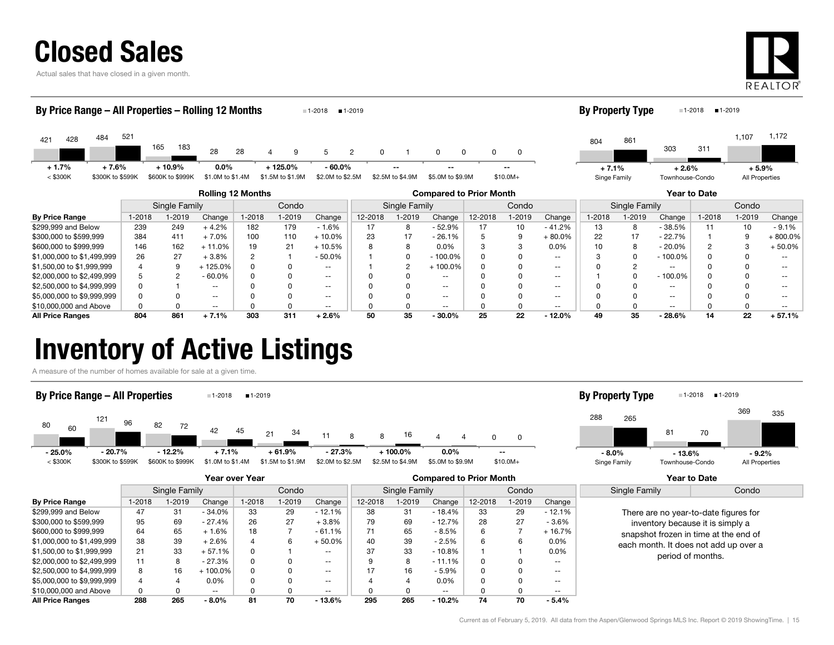

Actual sales that have closed in a given month.



335

By Property Type 1-2018 1-2019

#### By Price Range – All Properties – Rolling 12 Months

| $1 - 2018$ | $1 - 2019$<br>$\sim$ |
|------------|----------------------|
|------------|----------------------|

| 421                   | 428 | 484 | 521                         | 165 | 183                         | 28                          | 28 |                                |                               |  |                                              |                            |                     | 804                     | 861 | 303     | 311             | 1,107   | 1,172          |
|-----------------------|-----|-----|-----------------------------|-----|-----------------------------|-----------------------------|----|--------------------------------|-------------------------------|--|----------------------------------------------|----------------------------|---------------------|-------------------------|-----|---------|-----------------|---------|----------------|
| $+1.7%$<br>$<$ \$300K |     |     | $+7.6%$<br>\$300K to \$599K |     | ⊦ 10.9%<br>\$600K to \$999K | $0.0\%$<br>\$1.0M to \$1.4M |    | $-125.0\%$<br>\$1.5M to \$1.9M | $-60.0\%$<br>\$2.0M to \$2.5M |  | $\overline{\phantom{a}}$<br>\$2.5M to \$4.9M | $\sim$<br>\$5.0M to \$9.9M | $\sim$<br>$$10.0M+$ | $+7.1%$<br>Singe Family |     | $+2.6%$ | Townhouse-Condo | $+5.9%$ | All Properties |

|                            |               |        |          | <b>Rolling 12 Months</b> |        |           | <b>Compared to Prior Month</b> |         |               |         |        |           |               | <b>Year to Date</b> |           |        |         |           |  |  |
|----------------------------|---------------|--------|----------|--------------------------|--------|-----------|--------------------------------|---------|---------------|---------|--------|-----------|---------------|---------------------|-----------|--------|---------|-----------|--|--|
|                            | Single Family |        |          | Condo                    |        |           | Single Family                  |         |               | Condo   |        |           | Single Family |                     |           | Condo  |         |           |  |  |
| <b>By Price Range</b>      | 1-2018        | 1-2019 | Change   | $1 - 2018$               | 1-2019 | Change    | 12-2018                        | $-2019$ | Change        | 12-2018 | 1-2019 | Change    | 1-2018        | $-2019$             | Change    | 1-2018 | $-2019$ | Change    |  |  |
| \$299,999 and Below        | 239           | 249    | $+4.2%$  | 182                      | 179    | $-1.6%$   |                                | 8       | $-52.9%$      |         | 10     | $-41.2%$  | 13            | 8                   | $-38.5%$  | 11     | 10      | - 9.1%    |  |  |
| \$300,000 to \$599,999     | 384           | 411    | + 7.0%   | 100                      | 110    | $+10.0\%$ | 23                             | 17      | $-26.1%$      |         |        | $+80.0\%$ | 22            | 17                  | $-22.7%$  |        |         | + 800.0%  |  |  |
| \$600,000 to \$999,999     | 146           | 162    | $+11.0%$ | 19                       | 21     | $+10.5%$  |                                | 8       | $0.0\%$       |         |        | $0.0\%$   | 10            |                     | $-20.0%$  |        |         | $+50.0\%$ |  |  |
| \$1,000,000 to \$1,499,999 | 26            | 27     | + 3.8%   |                          |        | $-50.0%$  |                                |         | $-100.0\%$    |         |        | --        |               |                     | $-100.0%$ |        |         |           |  |  |
| \$1,500,00 to \$1,999,999  |               | 9      | 125.0%   |                          |        | $- -$     |                                |         | $+100.0\%$    | 0       |        | --        |               |                     | --        |        |         |           |  |  |
| \$2,000,000 to \$2,499,999 |               |        | $-60.0%$ |                          |        | $- -$     |                                |         | $\sim$ $\sim$ |         |        | $- -$     |               |                     | $-100.0%$ |        |         |           |  |  |
| \$2,500,000 to \$4,999,999 |               |        | $- -$    |                          |        | $- -$     |                                |         | $- -$         |         |        | --        |               |                     | --        |        |         |           |  |  |
| \$5,000,000 to \$9,999,999 |               |        | $- -$    |                          |        | $- -$     |                                |         | $- -$         |         |        | --        |               |                     | $- -$     |        |         |           |  |  |
| \$10,000,000 and Above     |               |        | $- -$    |                          |        | $- -$     |                                |         | $\sim$ $\sim$ |         |        | --        |               |                     | --        |        |         |           |  |  |
| <b>All Price Ranges</b>    | 804           | 861    | $+7.1%$  | 303                      | 311    | $+2.6%$   | 50                             | 35      | $-30.0\%$     | 25      | 22     | $-12.0%$  | 49            | 35                  | $-28.6%$  | 14     | 22      | $+57.1%$  |  |  |

### Inventory of Active Listings

A measure of the number of homes available for sale at a given time.

#### 80121 82 $-42$  45  $45$  21 1 <sup>04</sup> 11 8 816  $\overline{4}$  $\overline{4}$  <sup>60</sup> 96 72 348 8 16 4 4 0 $\mathsf 0$ < \$300K \$300K to \$599K \$600K to \$999K \$1.0M to \$1.4M \$1.5M to \$1.9M \$2.0M to \$2.5M \$2.5M to \$4.9M \$5.0M to \$9.9M \$10.0M+ By Price Range – All Properties **1-2018** 1-2019 288 81 369 265 70Singe Family Townhouse-Condo All Properties By Property Type 1-2018 1-2019 - 25.0% - 20.7% - 12.2% + 7.1% + 61.9% - 27.3% + 100.0% 0.0% --- 8.0% - 13.6% - 9.2%

|                            |               |        |           | Year over Year |        |               |               |         | <b>Compared to Prior Month</b> |          |        | Year to Date             |                                  |                                       |  |  |  |
|----------------------------|---------------|--------|-----------|----------------|--------|---------------|---------------|---------|--------------------------------|----------|--------|--------------------------|----------------------------------|---------------------------------------|--|--|--|
|                            | Single Family |        |           |                | Condo  |               | Single Family |         |                                | Condo    |        |                          | Single Family                    | Condo                                 |  |  |  |
| <b>By Price Range</b>      | 1-2018        | 1-2019 | Change    | $1 - 2018$     | 1-2019 | Change        | 12-2018       | $-2019$ | Change                         | 12-2018  | 1-2019 | Change                   |                                  |                                       |  |  |  |
| \$299.999 and Below        | 47            | 31     | $-34.0%$  | 33             | 29     | $-12.1%$      | 38            | 31      | $-18.4%$                       | 33       | 29     | $-12.1%$                 |                                  | There are no year-to-date figures for |  |  |  |
| \$300,000 to \$599,999     | 95            | 69     | $-27.4%$  | 26             | 27     | $+3.8%$       | 79            | 69      | $-12.7%$                       | 28       | 27     | $-3.6%$                  | inventory because it is simply a |                                       |  |  |  |
| \$600,000 to \$999.999     | 64            | 65     | $+1.6%$   | 18             |        | $-61.1%$      |               | 65      | - 8.5%                         | 6        |        | $+16.7%$                 |                                  | snapshot frozen in time at the end of |  |  |  |
| \$1,000,000 to \$1,499,999 | 38            | 39     | $+2.6%$   | 4              | 6      | $+50.0%$      | 40            | 39      | - 2.5%                         | 6        | 6      | $0.0\%$                  |                                  | each month. It does not add up over a |  |  |  |
| \$1,500,00 to \$1,999,999  | 21            | 33     | + 57.1%   | 0              |        | $\sim$ $\sim$ | 37            | 33      | $-10.8\%$                      |          |        | $0.0\%$                  |                                  | period of months.                     |  |  |  |
| \$2,000,000 to \$2,499,999 | 11            | 8      | $-27.3%$  | 0              | 0      | $- -$         |               | 8       | $-11.1%$                       | 0        |        | $- -$                    |                                  |                                       |  |  |  |
| \$2,500,000 to \$4,999,999 | 8             | 16     | $+100.0%$ | 0              |        | $\sim$ $\sim$ |               | 16      | $-5.9%$                        | $\Omega$ |        | $\overline{\phantom{a}}$ |                                  |                                       |  |  |  |
| \$5,000,000 to \$9,999,999 | 4             |        | $0.0\%$   | 0              |        | $\sim$ $\sim$ |               | 4       | $0.0\%$                        | 0        |        | $- -$                    |                                  |                                       |  |  |  |
| \$10,000,000 and Above     | 0             | 0      | $- -$     | 0              |        | $- -$         |               | 0       | $\sim$ $\sim$                  | 0        |        | $- -$                    |                                  |                                       |  |  |  |
| <b>All Price Ranges</b>    | 288           | 265    | $-8.0%$   | 81             | 70     | $-13.6%$      | 295           | 265     | $-10.2%$                       | 74       | 70     | $-5.4%$                  |                                  |                                       |  |  |  |